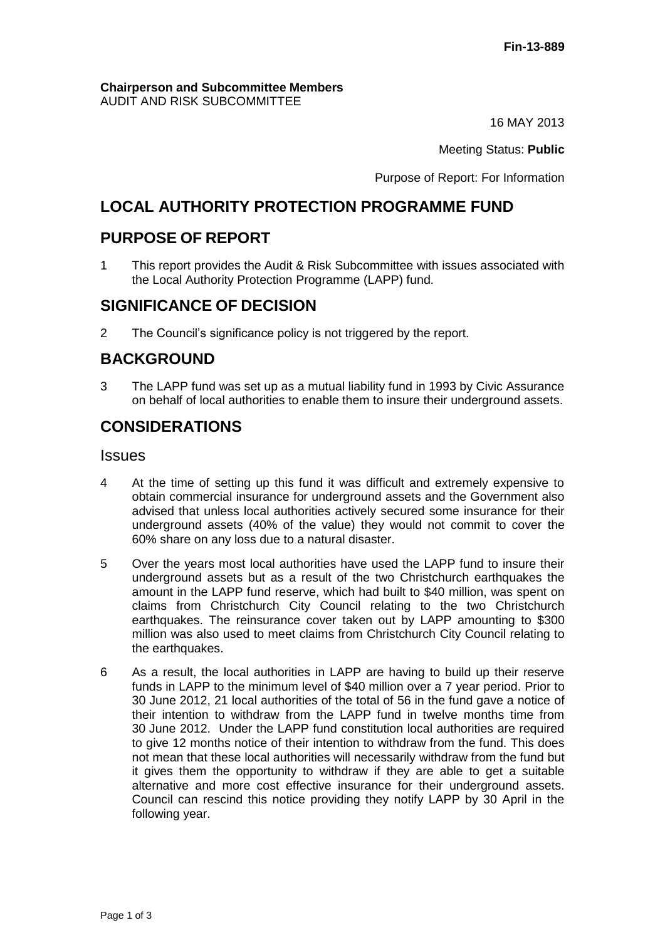#### **Chairperson and Subcommittee Members** AUDIT AND RISK SUBCOMMITTEE

16 MAY 2013

Meeting Status: **Public**

Purpose of Report: For Information

# **LOCAL AUTHORITY PROTECTION PROGRAMME FUND**

# **PURPOSE OF REPORT**

1 This report provides the Audit & Risk Subcommittee with issues associated with the Local Authority Protection Programme (LAPP) fund.

# **SIGNIFICANCE OF DECISION**

2 The Council's significance policy is not triggered by the report.

# **BACKGROUND**

3 The LAPP fund was set up as a mutual liability fund in 1993 by Civic Assurance on behalf of local authorities to enable them to insure their underground assets.

# **CONSIDERATIONS**

### **Issues**

- 4 At the time of setting up this fund it was difficult and extremely expensive to obtain commercial insurance for underground assets and the Government also advised that unless local authorities actively secured some insurance for their underground assets (40% of the value) they would not commit to cover the 60% share on any loss due to a natural disaster.
- 5 Over the years most local authorities have used the LAPP fund to insure their underground assets but as a result of the two Christchurch earthquakes the amount in the LAPP fund reserve, which had built to \$40 million, was spent on claims from Christchurch City Council relating to the two Christchurch earthquakes. The reinsurance cover taken out by LAPP amounting to \$300 million was also used to meet claims from Christchurch City Council relating to the earthquakes.
- 6 As a result, the local authorities in LAPP are having to build up their reserve funds in LAPP to the minimum level of \$40 million over a 7 year period. Prior to 30 June 2012, 21 local authorities of the total of 56 in the fund gave a notice of their intention to withdraw from the LAPP fund in twelve months time from 30 June 2012. Under the LAPP fund constitution local authorities are required to give 12 months notice of their intention to withdraw from the fund. This does not mean that these local authorities will necessarily withdraw from the fund but it gives them the opportunity to withdraw if they are able to get a suitable alternative and more cost effective insurance for their underground assets. Council can rescind this notice providing they notify LAPP by 30 April in the following year.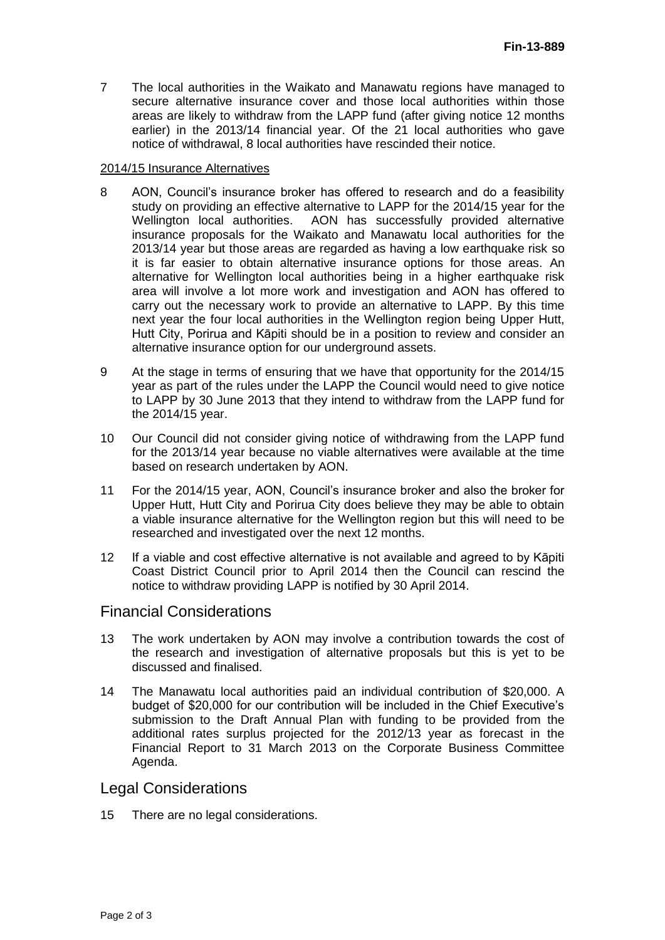7 The local authorities in the Waikato and Manawatu regions have managed to secure alternative insurance cover and those local authorities within those areas are likely to withdraw from the LAPP fund (after giving notice 12 months earlier) in the 2013/14 financial year. Of the 21 local authorities who gave notice of withdrawal, 8 local authorities have rescinded their notice.

#### 2014/15 Insurance Alternatives

- 8 AON, Council's insurance broker has offered to research and do a feasibility study on providing an effective alternative to LAPP for the 2014/15 year for the Wellington local authorities. AON has successfully provided alternative insurance proposals for the Waikato and Manawatu local authorities for the 2013/14 year but those areas are regarded as having a low earthquake risk so it is far easier to obtain alternative insurance options for those areas. An alternative for Wellington local authorities being in a higher earthquake risk area will involve a lot more work and investigation and AON has offered to carry out the necessary work to provide an alternative to LAPP. By this time next year the four local authorities in the Wellington region being Upper Hutt, Hutt City, Porirua and Kāpiti should be in a position to review and consider an alternative insurance option for our underground assets.
- 9 At the stage in terms of ensuring that we have that opportunity for the 2014/15 year as part of the rules under the LAPP the Council would need to give notice to LAPP by 30 June 2013 that they intend to withdraw from the LAPP fund for the 2014/15 year.
- 10 Our Council did not consider giving notice of withdrawing from the LAPP fund for the 2013/14 year because no viable alternatives were available at the time based on research undertaken by AON.
- 11 For the 2014/15 year, AON, Council's insurance broker and also the broker for Upper Hutt, Hutt City and Porirua City does believe they may be able to obtain a viable insurance alternative for the Wellington region but this will need to be researched and investigated over the next 12 months.
- 12 If a viable and cost effective alternative is not available and agreed to by Kāpiti Coast District Council prior to April 2014 then the Council can rescind the notice to withdraw providing LAPP is notified by 30 April 2014.

### Financial Considerations

- 13 The work undertaken by AON may involve a contribution towards the cost of the research and investigation of alternative proposals but this is yet to be discussed and finalised.
- 14 The Manawatu local authorities paid an individual contribution of \$20,000. A budget of \$20,000 for our contribution will be included in the Chief Executive's submission to the Draft Annual Plan with funding to be provided from the additional rates surplus projected for the 2012/13 year as forecast in the Financial Report to 31 March 2013 on the Corporate Business Committee Agenda.

## Legal Considerations

15 There are no legal considerations.